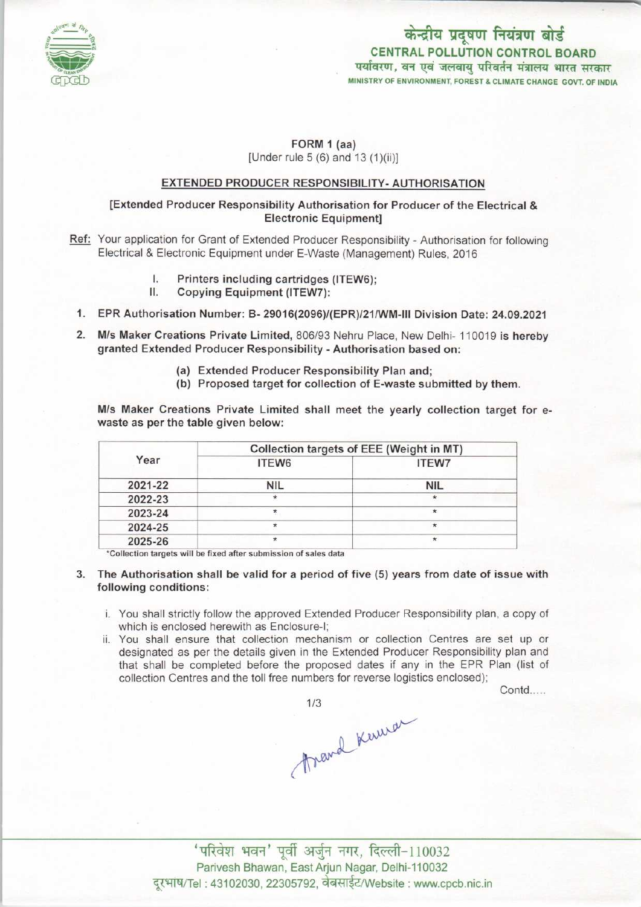

# केन्द्रीय प्रदूषण नियंत्रण बोर्ड CENTRAL POLLUTION CONTROL BOARD<br>पर्यावरण, वन एवं जलवाय परिवर्तन मंत्रालय भारत सरकार MINISTRY OF ENVIRONMENT, FOREST & CLIMATE CHANGE GOVT. OF INDIA

# FORM 1 (aa) [Under rule 5 (6) and 13 (1)(ii)]

## EXTENDED PRODUCER RESPONSIBILITY-AUTHORISATION

### [Extended Producer Responsibility Authorisation for Producer of the Electrical & Electronic Equipment]

- Ref: Your application for Grant of Extended Producer Responsibility Authorisation for following Electrical & Electronic Equipment under E-Waste (Management) Rules, 2016
	- I. Printers including cartridges (ITEW6);<br>II. Conving Faujoment (ITEW7);
		- Copying Equipment (ITEW7):
- 1.EPR Authorisation Number: B- 29016(2096>/(EPR)/21/WM-lll Division Date: 24.09.2021
- 2.M/s Maker Creations Private Limited, 806/93 Nehru Place, New Delhi- <sup>110019</sup> is hereby granted Extended Producer Responsibility - Authorisation based on:
	- (a)Extended Producer Responsibility Plan and;
	- (b) Proposed target for collection of E-waste submitted by them.

M/s Maker Creations Private Limited shall meet the yearly collection target for ewaste as per the table given below:

| Year    | Collection targets of EEE (Weight in MT) |              |
|---------|------------------------------------------|--------------|
|         | ITEW6                                    | <b>ITEW7</b> |
| 2021-22 | <b>NIL</b>                               | <b>NIL</b>   |
| 2022-23 | ÷                                        | $\star$      |
| 2023-24 |                                          | $\star$      |
| 2024-25 |                                          | $\star$      |
| 2025-26 |                                          | $\pmb{\ast}$ |

\*Collection targets will be fixed after submission of sales data

- 3. The Authorisation shall be valid for a period of five (5) years from date of issue with following conditions:
	- i. You shall strictly follow the approved Extended Producer Responsibility plan, a copy of which is enclosed herewith as Enclosure-I;
	- ii. You shall ensure that collection mechanism or collection Centres are set up or designated as per the details given in the Extended Producer Responsibility plan and that shall be completed before the proposed dates if any in the EPR Plan (list of collection Centres and the toll free numbers for reverse logistics enclosed);

Contd.....

1/3<br>frand Kerwar

' परिवेश भवन' पूर्वी अर्जुन नगर, दिल्ली-110032 Parivesh Bhawan, East Arjun Nagar, Delhi-110032 दूरभाष/Tel: 43102030, 22305792, वेबसाईट/Website : www.cpcb.nic.in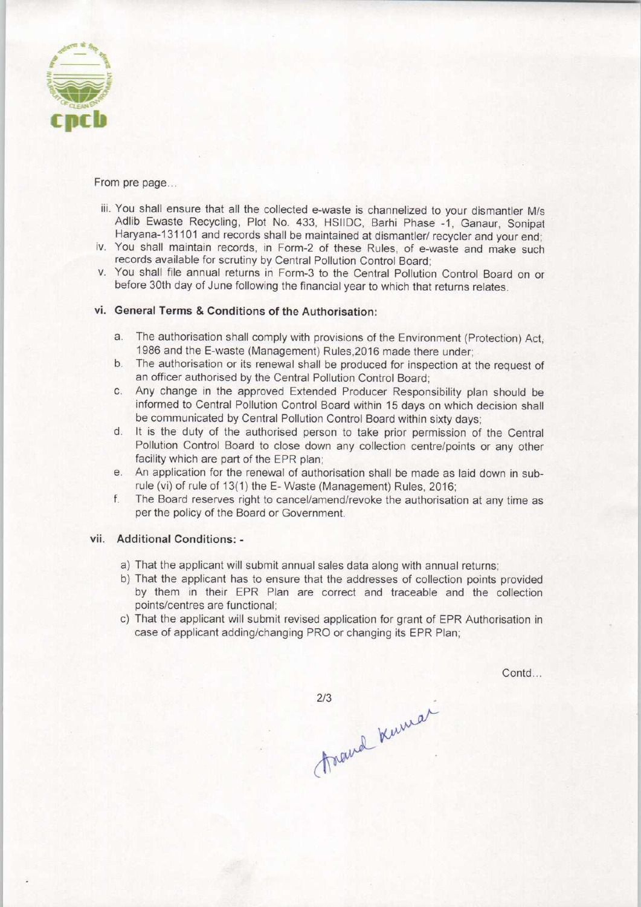

From pre page...

- iii. You shall ensure that all the collected e-waste is channelized to your dismantler M/s Adlib Ewaste Recycling, Plot No. 433, HSIIDC, Barhi Phase -1. Ganaur, Sonipat Haryana-131101 and records shall be maintained at dismantler/ recycler and your end;
- iv. You shall maintain records, in Form-2 of these Rules, of e-waste and make such records available for scrutiny by Central Pollution Control Board;
- v. You shall file annual returns in Form-3 to the Central Pollution Control Board on or before 30th day of June following the financial year to which that returns relates.

#### vi. General Terms & Conditions of the Authorisation:

- a.The authorisation shall comply with provisions of the Environment (Protection) Act, 1986 and the E-waste (Management) Rules,2016 made there under;
- b. The authorisation or its renewal shall be produced for inspection at the request of an officer authorised by the Central Pollution Control Board;
- c.Any change in the approved Extended Producer Responsibility plan should be informed to Central Pollution Control Board within 15 days on which decision shall be communicated by Central Pollution Control Board within sixty days;
- d. It is the duty of the authorised person to take prior permission of the Central Pollution Control Board to close down any collection centre/points or any other facility which are part of the EPR plan;
- e. An application for the renewal of authorisation shall be made as laid down in subrule (vi) of rule of 13(1) the E-Waste (Management) Rules, 2016;
- f.The Board reserves right to cancel/amend/revoke the authorisation at any time as per the policy of the Board or Government.

#### vii. Additional Conditions: -

- a) That the applicant will submit annual sales data along with annual returns;
- b)That the applicant has to ensure that the addresses of collection points provided by them in their EPR Plan are correct and traceable and the collection points/centres are functional;
- c) That the applicant will submit revised application for grant of EPR Authorisation in case of applicant adding/changing PRO or changing its EPR Plan;

Contd...

travel Kumar  $2/3$